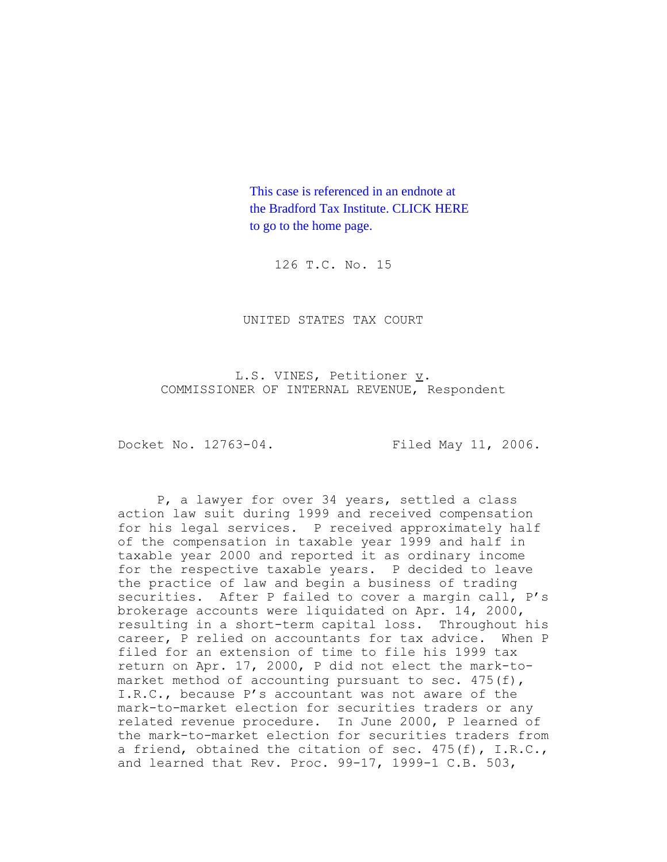This case is referenced in an endnote at [the Bradford Tax Institute. CLICK HERE](http://www.bradfordtaxinstitute.com/)  to go to the home page.

126 T.C. No. 15

UNITED STATES TAX COURT

L.S. VINES, Petitioner v. COMMISSIONER OF INTERNAL REVENUE, Respondent

Docket No. 12763-04. Filed May 11, 2006.

P, a lawyer for over 34 years, settled a class action law suit during 1999 and received compensation for his legal services. P received approximately half of the compensation in taxable year 1999 and half in taxable year 2000 and reported it as ordinary income for the respective taxable years. P decided to leave the practice of law and begin a business of trading securities. After P failed to cover a margin call, P's brokerage accounts were liquidated on Apr. 14, 2000, resulting in a short-term capital loss. Throughout his career, P relied on accountants for tax advice. When P filed for an extension of time to file his 1999 tax return on Apr. 17, 2000, P did not elect the mark-tomarket method of accounting pursuant to sec.  $475(f)$ , I.R.C., because P's accountant was not aware of the mark-to-market election for securities traders or any related revenue procedure. In June 2000, P learned of the mark-to-market election for securities traders from a friend, obtained the citation of sec.  $475(f)$ , I.R.C., and learned that Rev. Proc. 99-17, 1999-1 C.B. 503,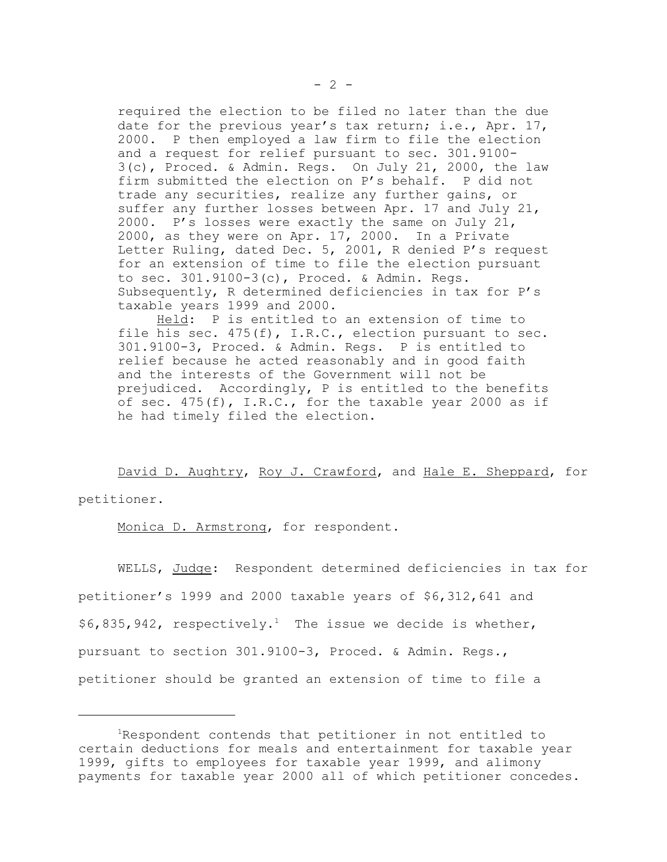required the election to be filed no later than the due date for the previous year's tax return; i.e., Apr. 17, 2000. P then employed a law firm to file the election and a request for relief pursuant to sec. 301.9100- 3(c), Proced. & Admin. Regs. On July 21, 2000, the law firm submitted the election on P's behalf. P did not trade any securities, realize any further gains, or suffer any further losses between Apr. 17 and July 21, 2000. P's losses were exactly the same on July 21, 2000, as they were on Apr. 17, 2000. In a Private Letter Ruling, dated Dec. 5, 2001, R denied P's request for an extension of time to file the election pursuant to sec. 301.9100-3(c), Proced. & Admin. Regs. Subsequently, R determined deficiencies in tax for P's taxable years 1999 and 2000.

Held: P is entitled to an extension of time to file his sec. 475(f), I.R.C., election pursuant to sec. 301.9100-3, Proced. & Admin. Regs. P is entitled to relief because he acted reasonably and in good faith and the interests of the Government will not be prejudiced. Accordingly, P is entitled to the benefits of sec. 475(f), I.R.C., for the taxable year 2000 as if he had timely filed the election.

David D. Aughtry, Roy J. Crawford, and Hale E. Sheppard, for petitioner.

Monica D. Armstrong, for respondent.

WELLS, Judge: Respondent determined deficiencies in tax for petitioner's 1999 and 2000 taxable years of \$6,312,641 and  $$6,835,942$ , respectively.<sup>1</sup> The issue we decide is whether, pursuant to section 301.9100-3, Proced. & Admin. Regs., petitioner should be granted an extension of time to file a

<sup>1</sup>Respondent contends that petitioner in not entitled to certain deductions for meals and entertainment for taxable year 1999, gifts to employees for taxable year 1999, and alimony payments for taxable year 2000 all of which petitioner concedes.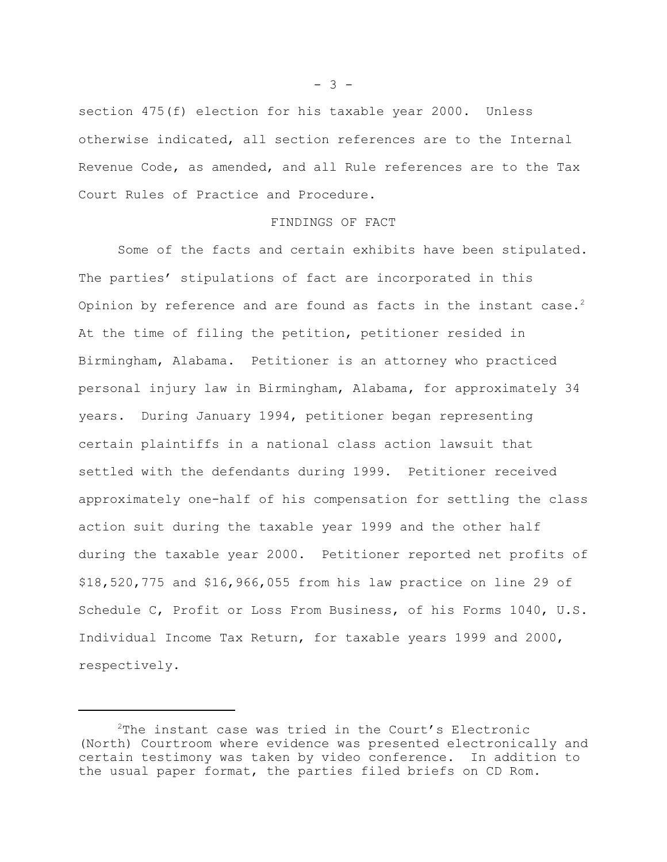section 475(f) election for his taxable year 2000. Unless otherwise indicated, all section references are to the Internal Revenue Code, as amended, and all Rule references are to the Tax Court Rules of Practice and Procedure.

## FINDINGS OF FACT

Some of the facts and certain exhibits have been stipulated. The parties' stipulations of fact are incorporated in this Opinion by reference and are found as facts in the instant case.<sup>2</sup> At the time of filing the petition, petitioner resided in Birmingham, Alabama. Petitioner is an attorney who practiced personal injury law in Birmingham, Alabama, for approximately 34 years. During January 1994, petitioner began representing certain plaintiffs in a national class action lawsuit that settled with the defendants during 1999. Petitioner received approximately one-half of his compensation for settling the class action suit during the taxable year 1999 and the other half during the taxable year 2000. Petitioner reported net profits of \$18,520,775 and \$16,966,055 from his law practice on line 29 of Schedule C, Profit or Loss From Business, of his Forms 1040, U.S. Individual Income Tax Return, for taxable years 1999 and 2000, respectively.

 $- 3 -$ 

 $2$ The instant case was tried in the Court's Electronic (North) Courtroom where evidence was presented electronically and certain testimony was taken by video conference. In addition to the usual paper format, the parties filed briefs on CD Rom.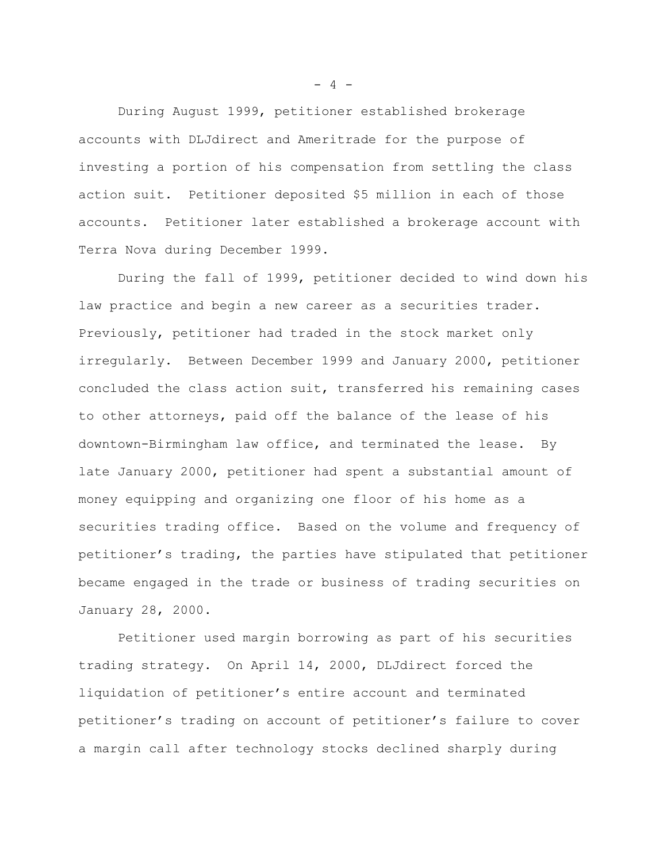During August 1999, petitioner established brokerage accounts with DLJdirect and Ameritrade for the purpose of investing a portion of his compensation from settling the class action suit. Petitioner deposited \$5 million in each of those accounts. Petitioner later established a brokerage account with Terra Nova during December 1999.

During the fall of 1999, petitioner decided to wind down his law practice and begin a new career as a securities trader. Previously, petitioner had traded in the stock market only irregularly. Between December 1999 and January 2000, petitioner concluded the class action suit, transferred his remaining cases to other attorneys, paid off the balance of the lease of his downtown-Birmingham law office, and terminated the lease. By late January 2000, petitioner had spent a substantial amount of money equipping and organizing one floor of his home as a securities trading office. Based on the volume and frequency of petitioner's trading, the parties have stipulated that petitioner became engaged in the trade or business of trading securities on January 28, 2000.

Petitioner used margin borrowing as part of his securities trading strategy. On April 14, 2000, DLJdirect forced the liquidation of petitioner's entire account and terminated petitioner's trading on account of petitioner's failure to cover a margin call after technology stocks declined sharply during

 $- 4 -$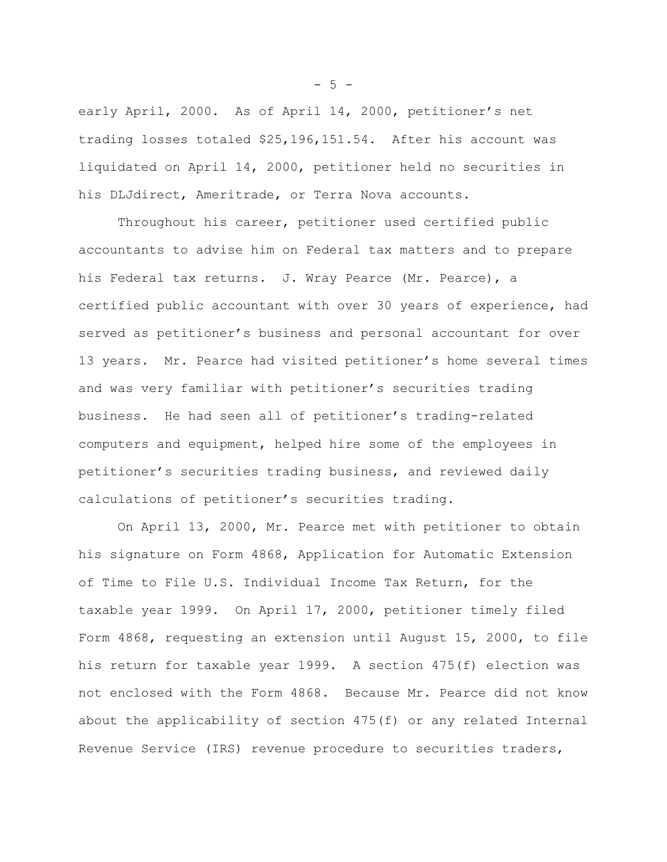early April, 2000. As of April 14, 2000, petitioner's net trading losses totaled \$25,196,151.54. After his account was liquidated on April 14, 2000, petitioner held no securities in his DLJdirect, Ameritrade, or Terra Nova accounts.

Throughout his career, petitioner used certified public accountants to advise him on Federal tax matters and to prepare his Federal tax returns. J. Wray Pearce (Mr. Pearce), a certified public accountant with over 30 years of experience, had served as petitioner's business and personal accountant for over 13 years. Mr. Pearce had visited petitioner's home several times and was very familiar with petitioner's securities trading business. He had seen all of petitioner's trading-related computers and equipment, helped hire some of the employees in petitioner's securities trading business, and reviewed daily calculations of petitioner's securities trading.

On April 13, 2000, Mr. Pearce met with petitioner to obtain his signature on Form 4868, Application for Automatic Extension of Time to File U.S. Individual Income Tax Return, for the taxable year 1999. On April 17, 2000, petitioner timely filed Form 4868, requesting an extension until August 15, 2000, to file his return for taxable year 1999. A section 475(f) election was not enclosed with the Form 4868. Because Mr. Pearce did not know about the applicability of section 475(f) or any related Internal Revenue Service (IRS) revenue procedure to securities traders,

 $- 5 -$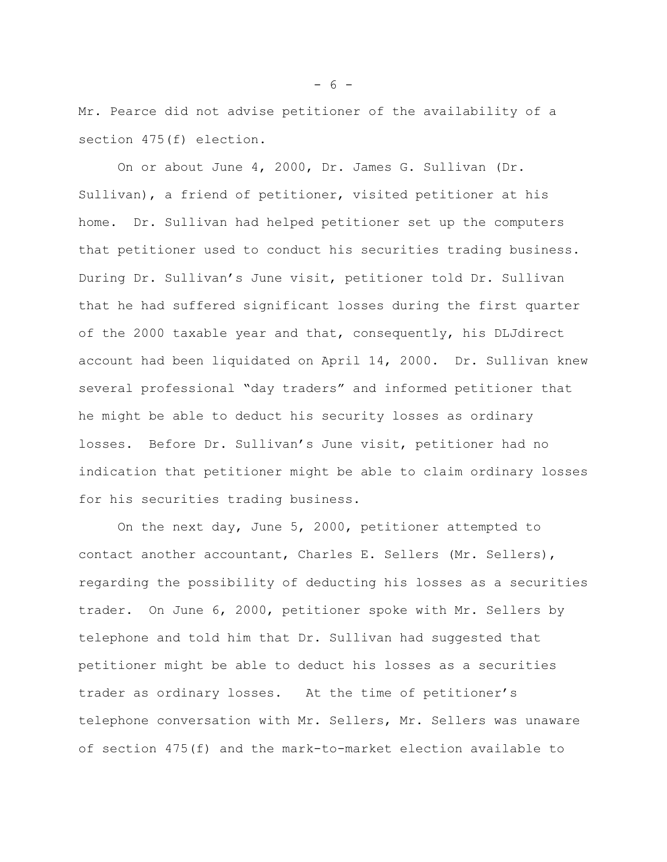Mr. Pearce did not advise petitioner of the availability of a section 475(f) election.

On or about June 4, 2000, Dr. James G. Sullivan (Dr. Sullivan), a friend of petitioner, visited petitioner at his home. Dr. Sullivan had helped petitioner set up the computers that petitioner used to conduct his securities trading business. During Dr. Sullivan's June visit, petitioner told Dr. Sullivan that he had suffered significant losses during the first quarter of the 2000 taxable year and that, consequently, his DLJdirect account had been liquidated on April 14, 2000. Dr. Sullivan knew several professional "day traders" and informed petitioner that he might be able to deduct his security losses as ordinary losses. Before Dr. Sullivan's June visit, petitioner had no indication that petitioner might be able to claim ordinary losses for his securities trading business.

On the next day, June 5, 2000, petitioner attempted to contact another accountant, Charles E. Sellers (Mr. Sellers), regarding the possibility of deducting his losses as a securities trader. On June 6, 2000, petitioner spoke with Mr. Sellers by telephone and told him that Dr. Sullivan had suggested that petitioner might be able to deduct his losses as a securities trader as ordinary losses. At the time of petitioner's telephone conversation with Mr. Sellers, Mr. Sellers was unaware of section 475(f) and the mark-to-market election available to

 $- 6 -$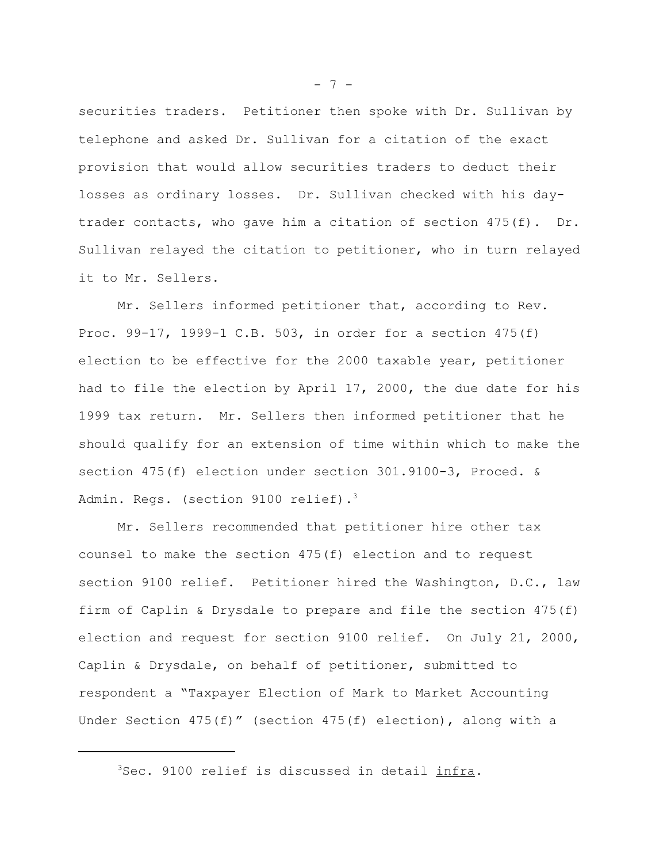securities traders. Petitioner then spoke with Dr. Sullivan by telephone and asked Dr. Sullivan for a citation of the exact provision that would allow securities traders to deduct their losses as ordinary losses. Dr. Sullivan checked with his daytrader contacts, who gave him a citation of section  $475(f)$ . Dr. Sullivan relayed the citation to petitioner, who in turn relayed it to Mr. Sellers.

Mr. Sellers informed petitioner that, according to Rev. Proc. 99-17, 1999-1 C.B. 503, in order for a section 475(f) election to be effective for the 2000 taxable year, petitioner had to file the election by April 17, 2000, the due date for his 1999 tax return. Mr. Sellers then informed petitioner that he should qualify for an extension of time within which to make the section 475(f) election under section 301.9100-3, Proced. & Admin. Regs. (section 9100 relief).<sup>3</sup>

Mr. Sellers recommended that petitioner hire other tax counsel to make the section 475(f) election and to request section 9100 relief. Petitioner hired the Washington, D.C., law firm of Caplin & Drysdale to prepare and file the section 475(f) election and request for section 9100 relief. On July 21, 2000, Caplin & Drysdale, on behalf of petitioner, submitted to respondent a "Taxpayer Election of Mark to Market Accounting Under Section 475(f)" (section 475(f) election), along with a

 $- 7 -$ 

<sup>&</sup>lt;sup>3</sup>Sec. 9100 relief is discussed in detail infra.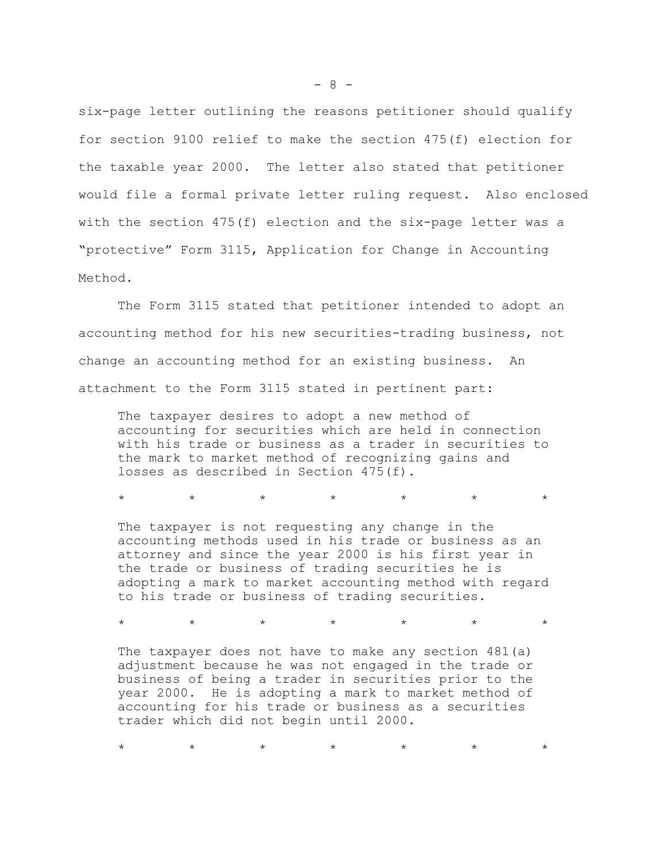six-page letter outlining the reasons petitioner should qualify for section 9100 relief to make the section 475(f) election for the taxable year 2000. The letter also stated that petitioner would file a formal private letter ruling request. Also enclosed with the section 475(f) election and the six-page letter was a "protective" Form 3115, Application for Change in Accounting Method.

The Form 3115 stated that petitioner intended to adopt an accounting method for his new securities-trading business, not change an accounting method for an existing business. An attachment to the Form 3115 stated in pertinent part:

The taxpayer desires to adopt a new method of accounting for securities which are held in connection with his trade or business as a trader in securities to the mark to market method of recognizing gains and losses as described in Section 475(f).

\* \* \* \* \* \* \* \* \* \*

The taxpayer is not requesting any change in the accounting methods used in his trade or business as an attorney and since the year 2000 is his first year in the trade or business of trading securities he is adopting a mark to market accounting method with regard to his trade or business of trading securities.

\* \* \* \* \* \* \* \* \* \*

The taxpayer does not have to make any section  $481(a)$ adjustment because he was not engaged in the trade or business of being a trader in securities prior to the year 2000. He is adopting a mark to market method of accounting for his trade or business as a securities trader which did not begin until 2000.

\* \* \* \* \* \* \* \* \* \*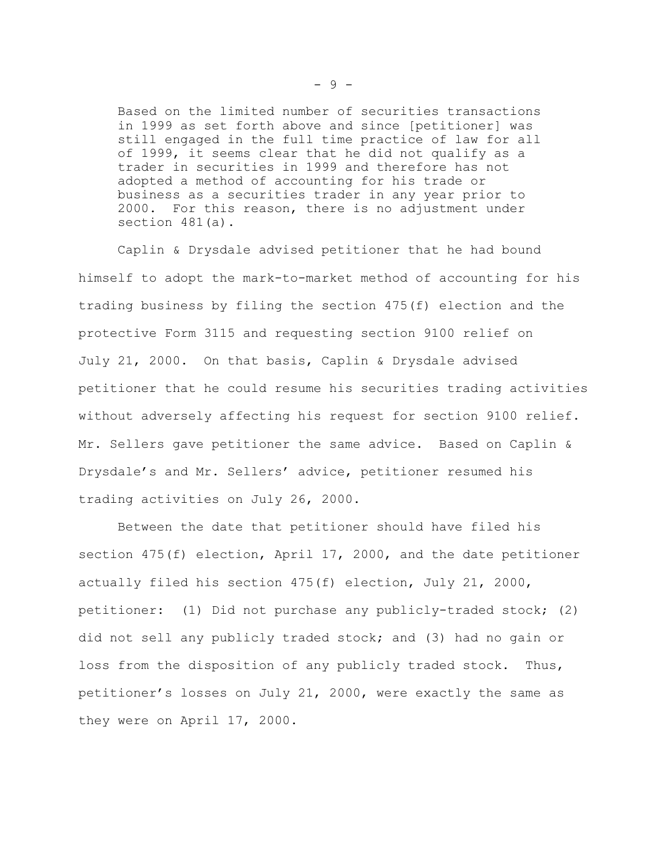Based on the limited number of securities transactions in 1999 as set forth above and since [petitioner] was still engaged in the full time practice of law for all of 1999, it seems clear that he did not qualify as a trader in securities in 1999 and therefore has not adopted a method of accounting for his trade or business as a securities trader in any year prior to 2000. For this reason, there is no adjustment under section 481(a).

Caplin & Drysdale advised petitioner that he had bound himself to adopt the mark-to-market method of accounting for his trading business by filing the section 475(f) election and the protective Form 3115 and requesting section 9100 relief on July 21, 2000. On that basis, Caplin & Drysdale advised petitioner that he could resume his securities trading activities without adversely affecting his request for section 9100 relief. Mr. Sellers gave petitioner the same advice. Based on Caplin & Drysdale's and Mr. Sellers' advice, petitioner resumed his trading activities on July 26, 2000.

Between the date that petitioner should have filed his section 475(f) election, April 17, 2000, and the date petitioner actually filed his section 475(f) election, July 21, 2000, petitioner: (1) Did not purchase any publicly-traded stock; (2) did not sell any publicly traded stock; and (3) had no gain or loss from the disposition of any publicly traded stock. Thus, petitioner's losses on July 21, 2000, were exactly the same as they were on April 17, 2000.

 $-9 -$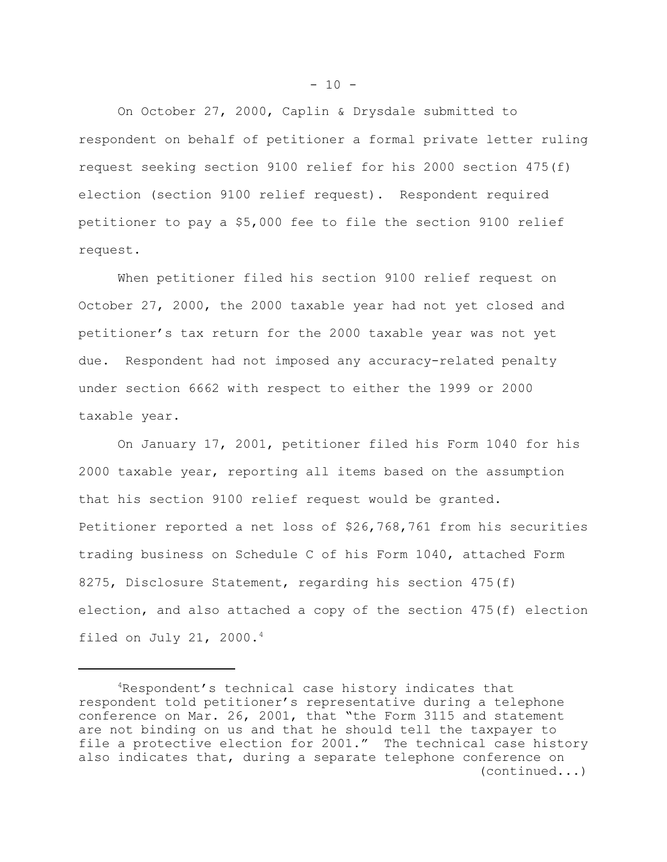On October 27, 2000, Caplin & Drysdale submitted to respondent on behalf of petitioner a formal private letter ruling request seeking section 9100 relief for his 2000 section 475(f) election (section 9100 relief request). Respondent required petitioner to pay a \$5,000 fee to file the section 9100 relief request.

When petitioner filed his section 9100 relief request on October 27, 2000, the 2000 taxable year had not yet closed and petitioner's tax return for the 2000 taxable year was not yet due. Respondent had not imposed any accuracy-related penalty under section 6662 with respect to either the 1999 or 2000 taxable year.

On January 17, 2001, petitioner filed his Form 1040 for his 2000 taxable year, reporting all items based on the assumption that his section 9100 relief request would be granted. Petitioner reported a net loss of \$26,768,761 from his securities trading business on Schedule C of his Form 1040, attached Form 8275, Disclosure Statement, regarding his section 475(f) election, and also attached a copy of the section 475(f) election filed on July 21, 2000. $4$ 

<sup>&</sup>lt;sup>4</sup>Respondent's technical case history indicates that respondent told petitioner's representative during a telephone conference on Mar. 26, 2001, that "the Form 3115 and statement are not binding on us and that he should tell the taxpayer to file a protective election for 2001." The technical case history also indicates that, during a separate telephone conference on (continued...)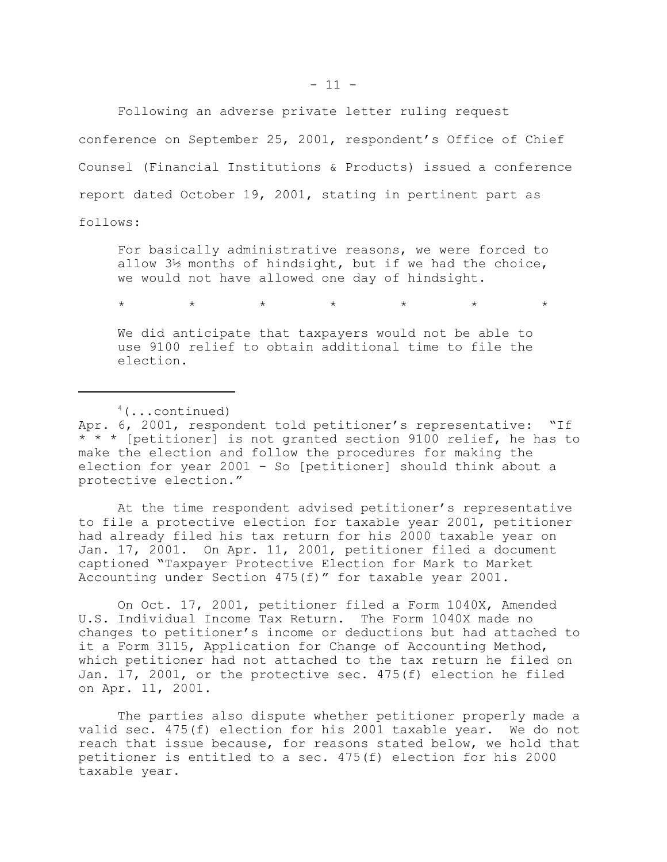Following an adverse private letter ruling request

conference on September 25, 2001, respondent's Office of Chief Counsel (Financial Institutions & Products) issued a conference report dated October 19, 2001, stating in pertinent part as follows:

For basically administrative reasons, we were forced to allow 3½ months of hindsight, but if we had the choice, we would not have allowed one day of hindsight.

\* \* \* \* \* \* \* \* \* \*

We did anticipate that taxpayers would not be able to use 9100 relief to obtain additional time to file the election.

 $4$ (...continued) Apr. 6, 2001, respondent told petitioner's representative: "If \* \* \* [petitioner] is not granted section 9100 relief, he has to make the election and follow the procedures for making the election for year 2001 - So [petitioner] should think about a protective election."

At the time respondent advised petitioner's representative to file a protective election for taxable year 2001, petitioner had already filed his tax return for his 2000 taxable year on Jan. 17, 2001. On Apr. 11, 2001, petitioner filed a document captioned "Taxpayer Protective Election for Mark to Market Accounting under Section 475(f)" for taxable year 2001.

On Oct. 17, 2001, petitioner filed a Form 1040X, Amended U.S. Individual Income Tax Return. The Form 1040X made no changes to petitioner's income or deductions but had attached to it a Form 3115, Application for Change of Accounting Method, which petitioner had not attached to the tax return he filed on Jan. 17, 2001, or the protective sec. 475(f) election he filed on Apr. 11, 2001.

The parties also dispute whether petitioner properly made a valid sec. 475(f) election for his 2001 taxable year. We do not reach that issue because, for reasons stated below, we hold that petitioner is entitled to a sec. 475(f) election for his 2000 taxable year.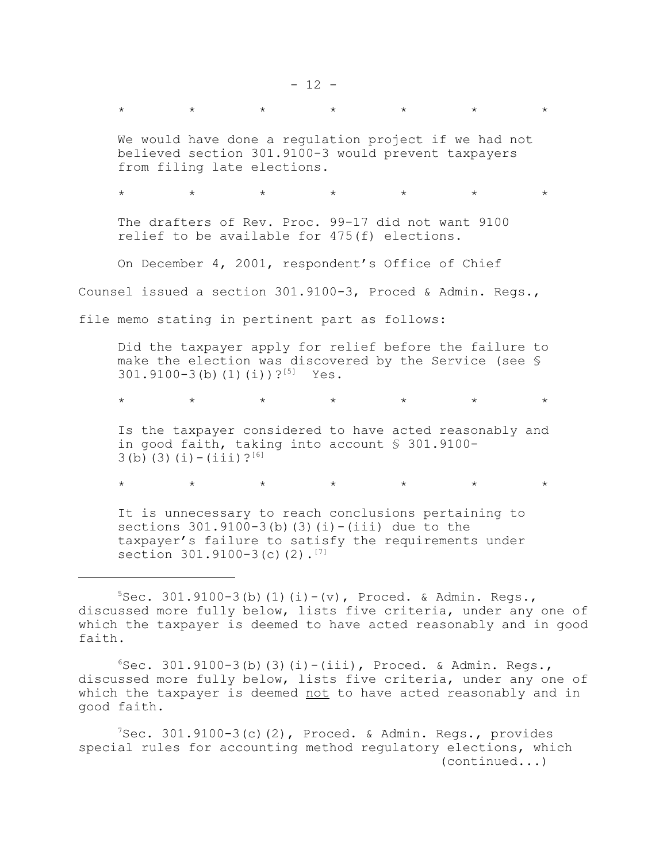\* \* \* \* \* \* \* \* \* \* We would have done a regulation project if we had not believed section 301.9100-3 would prevent taxpayers from filing late elections. \* \* \* \* \* \* \* \* \* \* The drafters of Rev. Proc. 99-17 did not want 9100 relief to be available for 475(f) elections. On December 4, 2001, respondent's Office of Chief Counsel issued a section 301.9100-3, Proced & Admin. Regs., file memo stating in pertinent part as follows: Did the taxpayer apply for relief before the failure to make the election was discovered by the Service (see § 301.9100-3(b)(1)(i))?<sup>[5]</sup> Yes. \* \* \* \* \* \* \* \* \* \* Is the taxpayer considered to have acted reasonably and in good faith, taking into account § 301.9100-  $3(b)(3)(i)-(iii)$ ?<sup>[6]</sup> \* \* \* \* \* \* \* \* \* \*

It is unnecessary to reach conclusions pertaining to sections  $301.9100-3$ (b)(3)(i)-(iii) due to the taxpayer's failure to satisfy the requirements under section  $301.9100-3(c)(2)$ .<sup>[7]</sup>

 $7$ Sec. 301.9100-3(c)(2), Proced. & Admin. Regs., provides special rules for accounting method regulatory elections, which (continued...)

 $5$ Sec. 301.9100-3(b)(1)(i)-(v), Proced. & Admin. Regs., discussed more fully below, lists five criteria, under any one of which the taxpayer is deemed to have acted reasonably and in good faith.

 $6$ Sec. 301.9100-3(b)(3)(i)-(iii), Proced. & Admin. Regs., discussed more fully below, lists five criteria, under any one of which the taxpayer is deemed not to have acted reasonably and in good faith.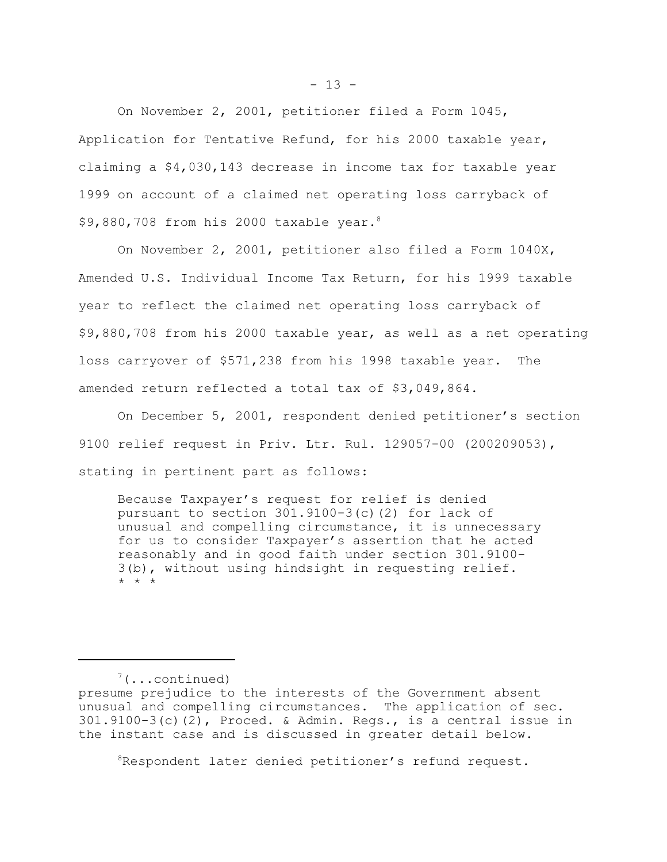On November 2, 2001, petitioner filed a Form 1045, Application for Tentative Refund, for his 2000 taxable year, claiming a \$4,030,143 decrease in income tax for taxable year 1999 on account of a claimed net operating loss carryback of \$9,880,708 from his 2000 taxable year.8

On November 2, 2001, petitioner also filed a Form 1040X, Amended U.S. Individual Income Tax Return, for his 1999 taxable year to reflect the claimed net operating loss carryback of \$9,880,708 from his 2000 taxable year, as well as a net operating loss carryover of \$571,238 from his 1998 taxable year. The amended return reflected a total tax of \$3,049,864.

On December 5, 2001, respondent denied petitioner's section 9100 relief request in Priv. Ltr. Rul. 129057-00 (200209053), stating in pertinent part as follows:

Because Taxpayer's request for relief is denied pursuant to section 301.9100-3(c)(2) for lack of unusual and compelling circumstance, it is unnecessary for us to consider Taxpayer's assertion that he acted reasonably and in good faith under section 301.9100- 3(b), without using hindsight in requesting relief. \* \* \*

 $7(\ldots$ continued)

 $8R$ espondent later denied petitioner's refund request.

presume prejudice to the interests of the Government absent unusual and compelling circumstances. The application of sec.  $301.9100-3(c)$  (2), Proced. & Admin. Regs., is a central issue in the instant case and is discussed in greater detail below.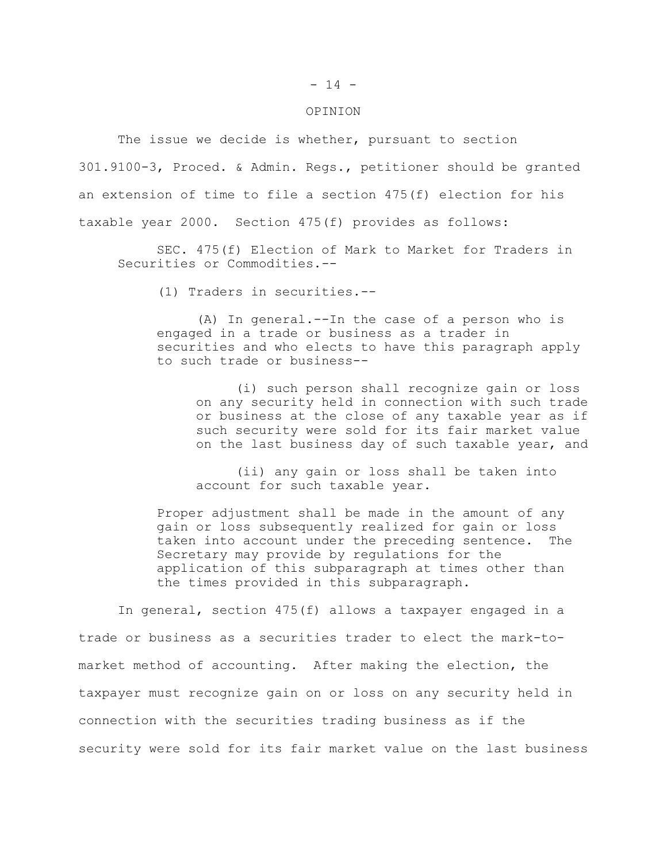## $- 14 -$

## OPINION

The issue we decide is whether, pursuant to section 301.9100-3, Proced. & Admin. Regs., petitioner should be granted an extension of time to file a section 475(f) election for his taxable year 2000. Section 475(f) provides as follows:

SEC. 475(f) Election of Mark to Market for Traders in Securities or Commodities.--

(1) Traders in securities.--

(A) In general.--In the case of a person who is engaged in a trade or business as a trader in securities and who elects to have this paragraph apply to such trade or business--

(i) such person shall recognize gain or loss on any security held in connection with such trade or business at the close of any taxable year as if such security were sold for its fair market value on the last business day of such taxable year, and

(ii) any gain or loss shall be taken into account for such taxable year.

Proper adjustment shall be made in the amount of any gain or loss subsequently realized for gain or loss taken into account under the preceding sentence. The Secretary may provide by regulations for the application of this subparagraph at times other than the times provided in this subparagraph.

In general, section 475(f) allows a taxpayer engaged in a trade or business as a securities trader to elect the mark-tomarket method of accounting. After making the election, the taxpayer must recognize gain on or loss on any security held in connection with the securities trading business as if the security were sold for its fair market value on the last business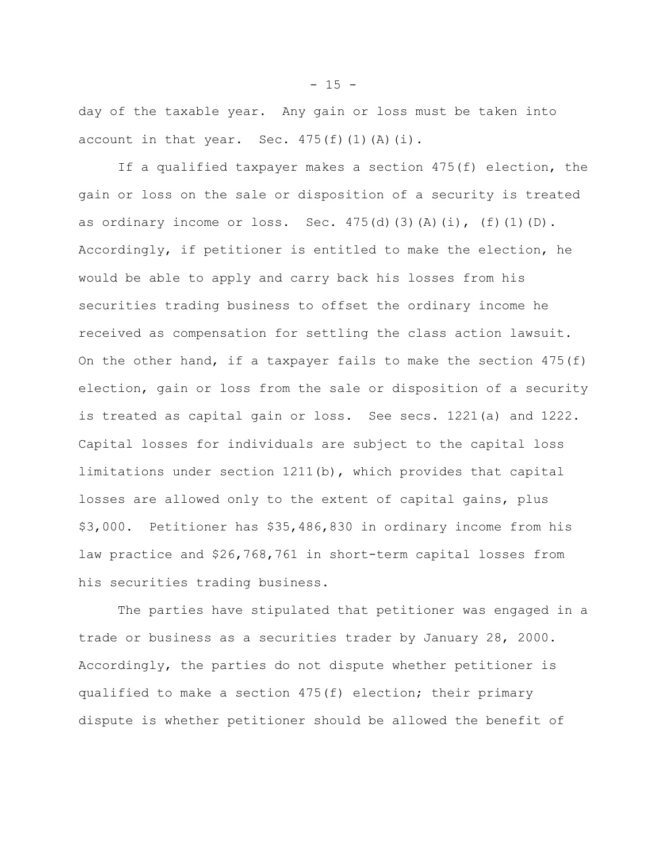day of the taxable year. Any gain or loss must be taken into account in that year. Sec.  $475(f)(1)(A)(i)$ .

If a qualified taxpayer makes a section 475(f) election, the gain or loss on the sale or disposition of a security is treated as ordinary income or loss. Sec.  $475(d)(3)(A)(i)$ ,  $(f)(1)(D)$ . Accordingly, if petitioner is entitled to make the election, he would be able to apply and carry back his losses from his securities trading business to offset the ordinary income he received as compensation for settling the class action lawsuit. On the other hand, if a taxpayer fails to make the section  $475(f)$ election, gain or loss from the sale or disposition of a security is treated as capital gain or loss. See secs. 1221(a) and 1222. Capital losses for individuals are subject to the capital loss limitations under section 1211(b), which provides that capital losses are allowed only to the extent of capital gains, plus \$3,000. Petitioner has \$35,486,830 in ordinary income from his law practice and \$26,768,761 in short-term capital losses from his securities trading business.

The parties have stipulated that petitioner was engaged in a trade or business as a securities trader by January 28, 2000. Accordingly, the parties do not dispute whether petitioner is qualified to make a section  $475(f)$  election; their primary dispute is whether petitioner should be allowed the benefit of

 $- 15 -$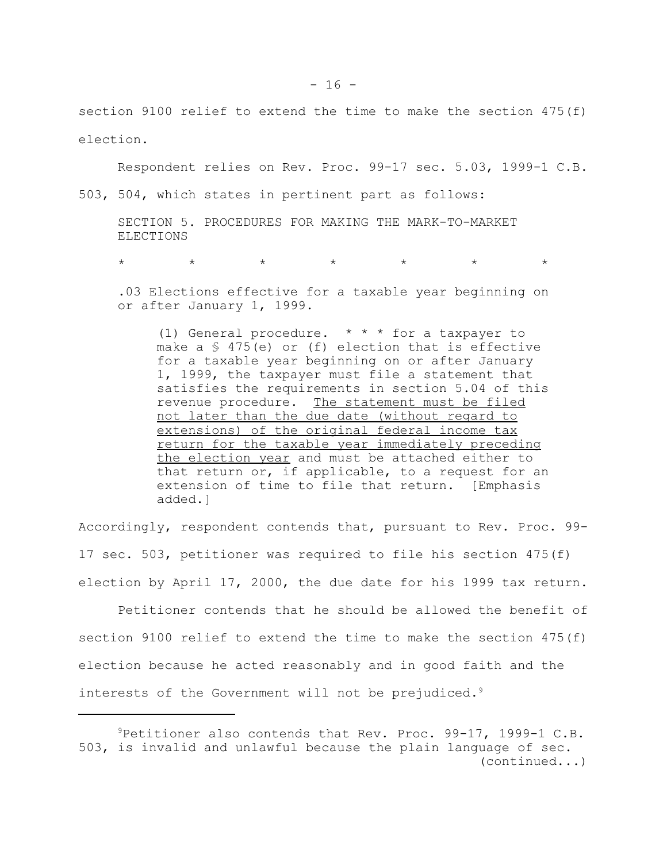section 9100 relief to extend the time to make the section 475(f) election.

Respondent relies on Rev. Proc. 99-17 sec. 5.03, 1999-1 C.B.

503, 504, which states in pertinent part as follows:

SECTION 5. PROCEDURES FOR MAKING THE MARK-TO-MARKET **ELECTIONS** 

\* \* \* \* \* \* \* \* \* \*

.03 Elections effective for a taxable year beginning on or after January 1, 1999.

(1) General procedure. \* \* \* for a taxpayer to make a § 475(e) or (f) election that is effective for a taxable year beginning on or after January 1, 1999, the taxpayer must file a statement that satisfies the requirements in section 5.04 of this revenue procedure. The statement must be filed not later than the due date (without regard to extensions) of the original federal income tax return for the taxable year immediately preceding the election year and must be attached either to that return or, if applicable, to a request for an extension of time to file that return. [Emphasis added.]

Accordingly, respondent contends that, pursuant to Rev. Proc. 99- 17 sec. 503, petitioner was required to file his section 475(f) election by April 17, 2000, the due date for his 1999 tax return.

Petitioner contends that he should be allowed the benefit of section 9100 relief to extend the time to make the section 475(f) election because he acted reasonably and in good faith and the interests of the Government will not be prejudiced.<sup>9</sup>

<sup>9</sup>Petitioner also contends that Rev. Proc. 99-17, 1999-1 C.B. 503, is invalid and unlawful because the plain language of sec. (continued...)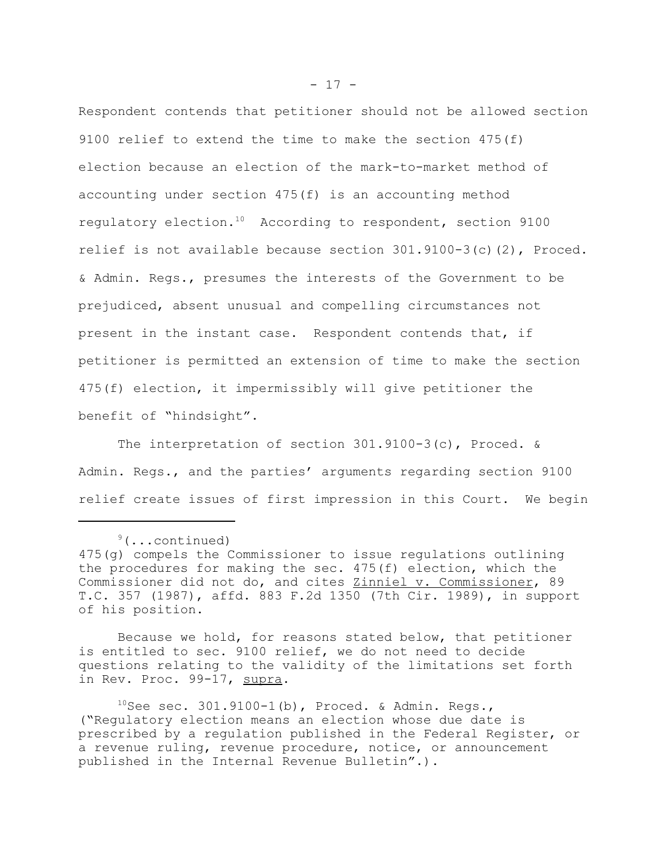Respondent contends that petitioner should not be allowed section 9100 relief to extend the time to make the section 475(f) election because an election of the mark-to-market method of accounting under section 475(f) is an accounting method regulatory election.10 According to respondent, section 9100 relief is not available because section  $301.9100-3(c)(2)$ , Proced. & Admin. Regs., presumes the interests of the Government to be prejudiced, absent unusual and compelling circumstances not present in the instant case. Respondent contends that, if petitioner is permitted an extension of time to make the section 475(f) election, it impermissibly will give petitioner the benefit of "hindsight".

The interpretation of section 301.9100-3(c), Proced. & Admin. Regs., and the parties' arguments regarding section 9100 relief create issues of first impression in this Court. We begin

Because we hold, for reasons stated below, that petitioner is entitled to sec. 9100 relief, we do not need to decide questions relating to the validity of the limitations set forth in Rev. Proc. 99-17, supra.

 $10$ See sec. 301.9100-1(b), Proced. & Admin. Regs., ("Regulatory election means an election whose due date is prescribed by a regulation published in the Federal Register, or a revenue ruling, revenue procedure, notice, or announcement published in the Internal Revenue Bulletin".).

 $9($ ...continued) 475(g) compels the Commissioner to issue regulations outlining the procedures for making the sec. 475(f) election, which the Commissioner did not do, and cites Zinniel v. Commissioner, 89 T.C. 357 (1987), affd. 883 F.2d 1350 (7th Cir. 1989), in support of his position.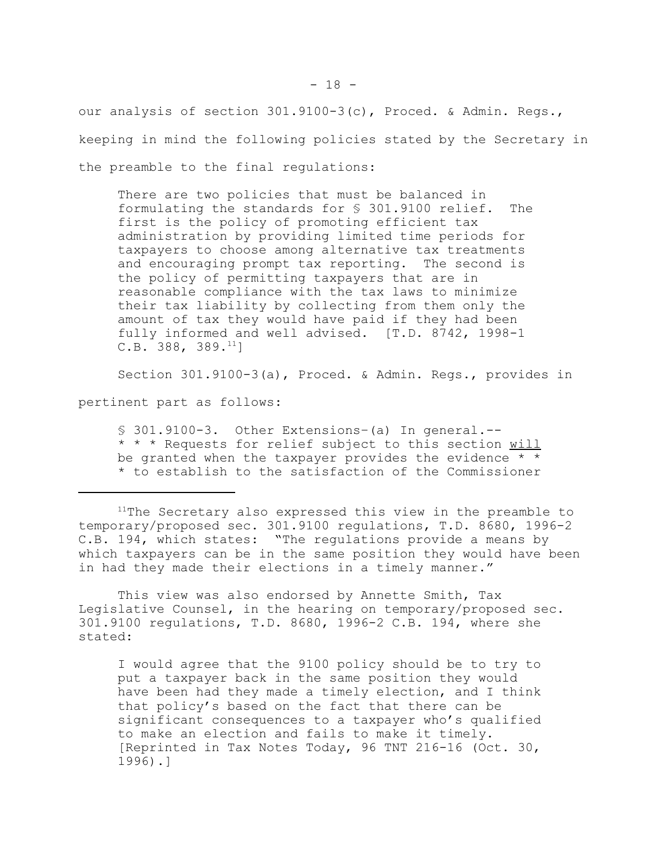our analysis of section 301.9100-3(c), Proced. & Admin. Regs., keeping in mind the following policies stated by the Secretary in the preamble to the final regulations:

There are two policies that must be balanced in formulating the standards for § 301.9100 relief. The first is the policy of promoting efficient tax administration by providing limited time periods for taxpayers to choose among alternative tax treatments and encouraging prompt tax reporting. The second is the policy of permitting taxpayers that are in reasonable compliance with the tax laws to minimize their tax liability by collecting from them only the amount of tax they would have paid if they had been fully informed and well advised. [T.D. 8742, 1998-1 C.B. 388, 389. $^{11}$ ]

Section 301.9100-3(a), Proced. & Admin. Regs., provides in

pertinent part as follows:

§ 301.9100-3. Other Extensions-(a) In general.--\* \* \* Requests for relief subject to this section will be granted when the taxpayer provides the evidence  $*$   $*$ \* to establish to the satisfaction of the Commissioner

<sup>11</sup>The Secretary also expressed this view in the preamble to temporary/proposed sec. 301.9100 regulations, T.D. 8680, 1996-2 C.B. 194, which states: "The regulations provide a means by which taxpayers can be in the same position they would have been in had they made their elections in a timely manner."

This view was also endorsed by Annette Smith, Tax Legislative Counsel, in the hearing on temporary/proposed sec. 301.9100 regulations, T.D. 8680, 1996-2 C.B. 194, where she stated:

I would agree that the 9100 policy should be to try to put a taxpayer back in the same position they would have been had they made a timely election, and I think that policy's based on the fact that there can be significant consequences to a taxpayer who's qualified to make an election and fails to make it timely. [Reprinted in Tax Notes Today, 96 TNT 216-16 (Oct. 30, 1996).]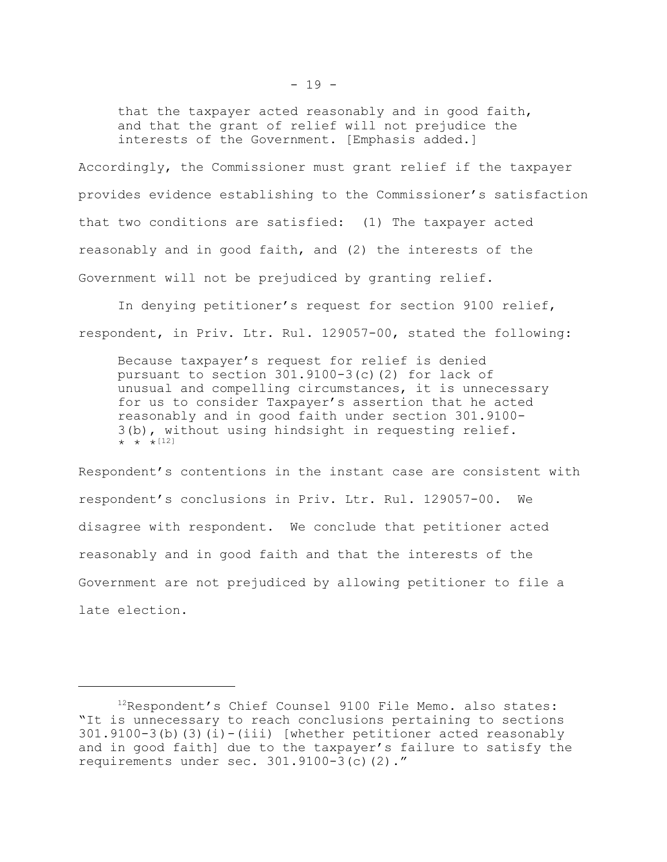that the taxpayer acted reasonably and in good faith, and that the grant of relief will not prejudice the interests of the Government. [Emphasis added.]

Accordingly, the Commissioner must grant relief if the taxpayer provides evidence establishing to the Commissioner's satisfaction that two conditions are satisfied: (1) The taxpayer acted reasonably and in good faith, and (2) the interests of the Government will not be prejudiced by granting relief.

In denying petitioner's request for section 9100 relief, respondent, in Priv. Ltr. Rul. 129057-00, stated the following:

Because taxpayer's request for relief is denied pursuant to section 301.9100-3(c)(2) for lack of unusual and compelling circumstances, it is unnecessary for us to consider Taxpayer's assertion that he acted reasonably and in good faith under section 301.9100- 3(b), without using hindsight in requesting relief.  $\star$   $\star$   $\star$  [12]

Respondent's contentions in the instant case are consistent with respondent's conclusions in Priv. Ltr. Rul. 129057-00. We disagree with respondent. We conclude that petitioner acted reasonably and in good faith and that the interests of the Government are not prejudiced by allowing petitioner to file a late election.

<sup>&</sup>lt;sup>12</sup>Respondent's Chief Counsel 9100 File Memo. also states: "It is unnecessary to reach conclusions pertaining to sections  $301.9100-3$ (b)(3)(i)-(iii) [whether petitioner acted reasonably and in good faith] due to the taxpayer's failure to satisfy the requirements under sec. 301.9100-3(c)(2)."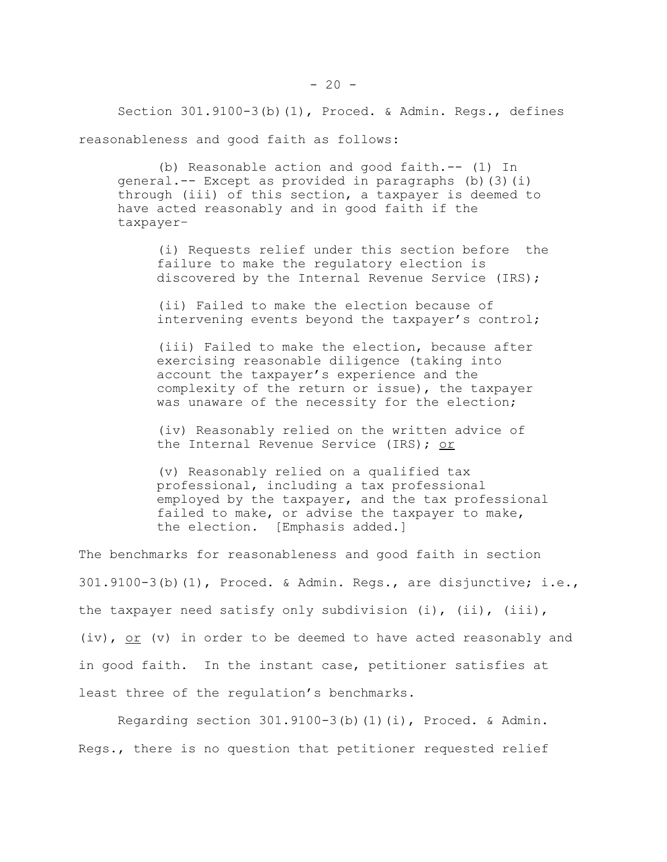Section 301.9100-3(b)(1), Proced. & Admin. Regs., defines reasonableness and good faith as follows:

(b) Reasonable action and good faith.-- (1) In  $qeneral. -- Except as provided in paragraphs (b) (3)(i)$ through (iii) of this section, a taxpayer is deemed to have acted reasonably and in good faith if the taxpayer–

(i) Requests relief under this section before the failure to make the regulatory election is discovered by the Internal Revenue Service (IRS);

(ii) Failed to make the election because of intervening events beyond the taxpayer's control;

(iii) Failed to make the election, because after exercising reasonable diligence (taking into account the taxpayer's experience and the complexity of the return or issue), the taxpayer was unaware of the necessity for the election;

(iv) Reasonably relied on the written advice of the Internal Revenue Service (IRS); or

(v) Reasonably relied on a qualified tax professional, including a tax professional employed by the taxpayer, and the tax professional failed to make, or advise the taxpayer to make, the election. [Emphasis added.]

The benchmarks for reasonableness and good faith in section 301.9100-3(b)(1), Proced. & Admin. Regs., are disjunctive; i.e., the taxpayer need satisfy only subdivision (i), (ii), (iii), (iv),  $or$  (v) in order to be deemed to have acted reasonably and in good faith. In the instant case, petitioner satisfies at least three of the regulation's benchmarks.

Regarding section  $301.9100-3(b)(1)(i)$ , Proced. & Admin. Regs., there is no question that petitioner requested relief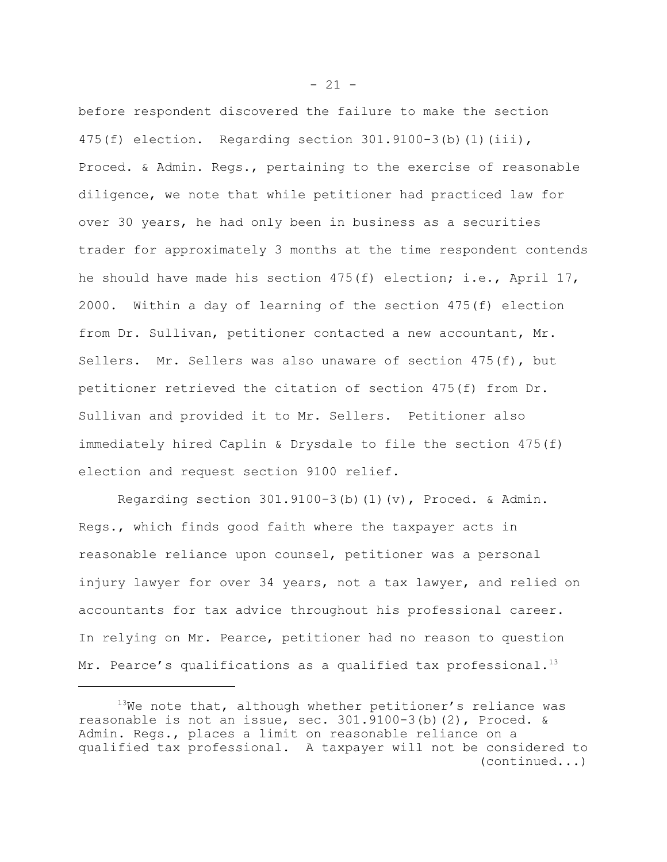before respondent discovered the failure to make the section 475(f) election. Regarding section 301.9100-3(b)(1)(iii), Proced. & Admin. Regs., pertaining to the exercise of reasonable diligence, we note that while petitioner had practiced law for over 30 years, he had only been in business as a securities trader for approximately 3 months at the time respondent contends he should have made his section  $475(f)$  election; i.e., April  $17$ , 2000. Within a day of learning of the section 475(f) election from Dr. Sullivan, petitioner contacted a new accountant, Mr. Sellers. Mr. Sellers was also unaware of section 475(f), but petitioner retrieved the citation of section 475(f) from Dr. Sullivan and provided it to Mr. Sellers. Petitioner also immediately hired Caplin & Drysdale to file the section 475(f) election and request section 9100 relief.

Regarding section  $301.9100-3(b)(1)(v)$ , Proced. & Admin. Regs., which finds good faith where the taxpayer acts in reasonable reliance upon counsel, petitioner was a personal injury lawyer for over 34 years, not a tax lawyer, and relied on accountants for tax advice throughout his professional career. In relying on Mr. Pearce, petitioner had no reason to question Mr. Pearce's qualifications as a qualified tax professional.<sup>13</sup>

 $13$ We note that, although whether petitioner's reliance was reasonable is not an issue, sec. 301.9100-3(b)(2), Proced. & Admin. Regs., places a limit on reasonable reliance on a qualified tax professional. A taxpayer will not be considered to (continued...)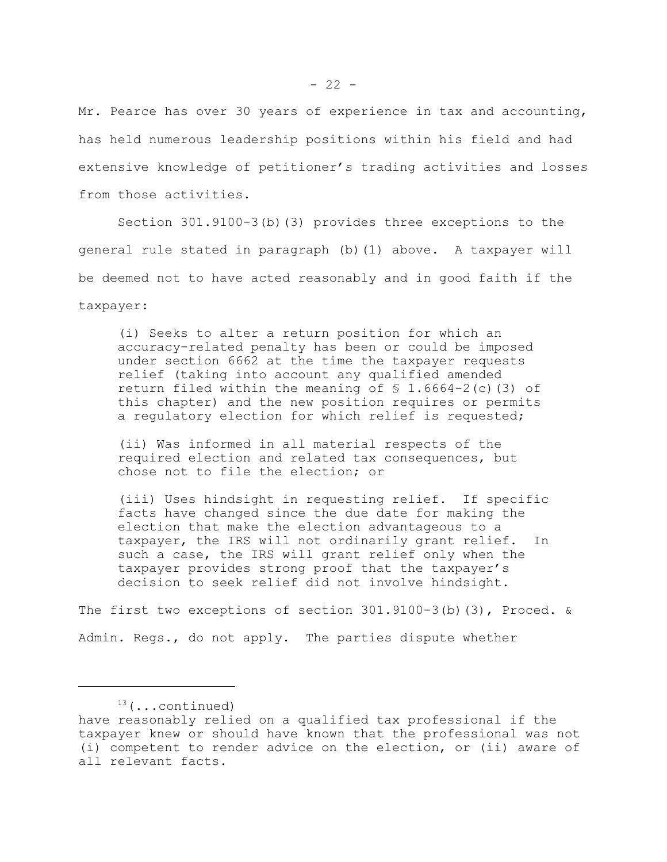Mr. Pearce has over 30 years of experience in tax and accounting, has held numerous leadership positions within his field and had extensive knowledge of petitioner's trading activities and losses from those activities.

Section 301.9100-3(b)(3) provides three exceptions to the general rule stated in paragraph (b)(1) above. A taxpayer will be deemed not to have acted reasonably and in good faith if the taxpayer:

(i) Seeks to alter a return position for which an accuracy-related penalty has been or could be imposed under section 6662 at the time the taxpayer requests relief (taking into account any qualified amended return filed within the meaning of  $\frac{1}{2}$  1.6664-2(c)(3) of this chapter) and the new position requires or permits a regulatory election for which relief is requested;

(ii) Was informed in all material respects of the required election and related tax consequences, but chose not to file the election; or

(iii) Uses hindsight in requesting relief. If specific facts have changed since the due date for making the election that make the election advantageous to a taxpayer, the IRS will not ordinarily grant relief. In such a case, the IRS will grant relief only when the taxpayer provides strong proof that the taxpayer's decision to seek relief did not involve hindsight.

The first two exceptions of section 301.9100-3(b)(3), Proced. & Admin. Regs., do not apply. The parties dispute whether

 $13$ (...continued)

have reasonably relied on a qualified tax professional if the taxpayer knew or should have known that the professional was not (i) competent to render advice on the election, or (ii) aware of all relevant facts.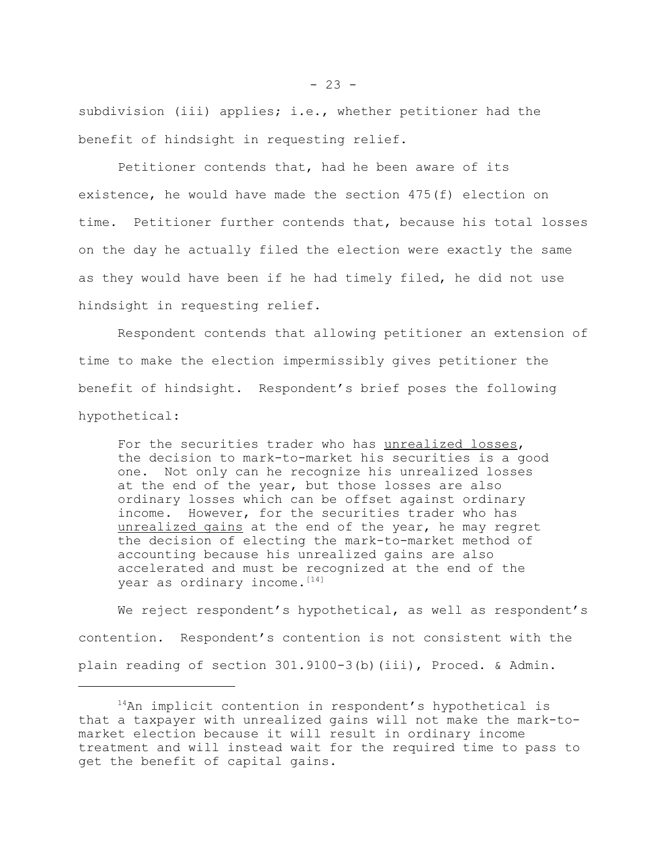subdivision (iii) applies; i.e., whether petitioner had the benefit of hindsight in requesting relief.

Petitioner contends that, had he been aware of its existence, he would have made the section 475(f) election on time. Petitioner further contends that, because his total losses on the day he actually filed the election were exactly the same as they would have been if he had timely filed, he did not use hindsight in requesting relief.

Respondent contends that allowing petitioner an extension of time to make the election impermissibly gives petitioner the benefit of hindsight. Respondent's brief poses the following hypothetical:

For the securities trader who has unrealized losses, the decision to mark-to-market his securities is a good one. Not only can he recognize his unrealized losses at the end of the year, but those losses are also ordinary losses which can be offset against ordinary income. However, for the securities trader who has unrealized gains at the end of the year, he may regret the decision of electing the mark-to-market method of accounting because his unrealized gains are also accelerated and must be recognized at the end of the year as ordinary income. [14]

We reject respondent's hypothetical, as well as respondent's contention. Respondent's contention is not consistent with the plain reading of section 301.9100-3(b)(iii), Proced. & Admin.

 $14$ An implicit contention in respondent's hypothetical is that a taxpayer with unrealized gains will not make the mark-tomarket election because it will result in ordinary income treatment and will instead wait for the required time to pass to get the benefit of capital gains.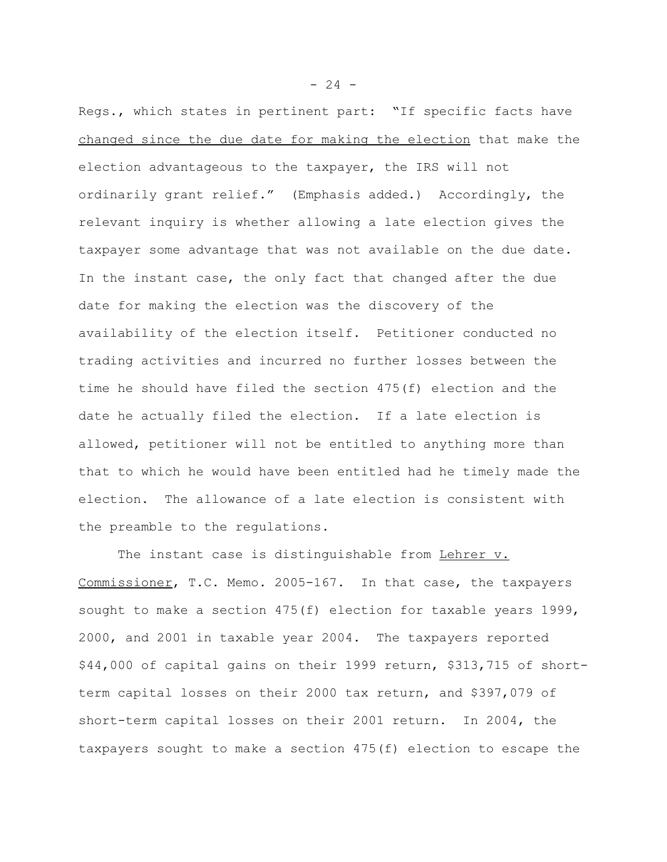Regs., which states in pertinent part: "If specific facts have changed since the due date for making the election that make the election advantageous to the taxpayer, the IRS will not ordinarily grant relief." (Emphasis added.) Accordingly, the relevant inquiry is whether allowing a late election gives the taxpayer some advantage that was not available on the due date. In the instant case, the only fact that changed after the due date for making the election was the discovery of the availability of the election itself. Petitioner conducted no trading activities and incurred no further losses between the time he should have filed the section 475(f) election and the date he actually filed the election. If a late election is allowed, petitioner will not be entitled to anything more than that to which he would have been entitled had he timely made the election. The allowance of a late election is consistent with the preamble to the regulations.

The instant case is distinguishable from Lehrer v. Commissioner, T.C. Memo. 2005-167. In that case, the taxpayers sought to make a section 475(f) election for taxable years 1999, 2000, and 2001 in taxable year 2004. The taxpayers reported \$44,000 of capital gains on their 1999 return, \$313,715 of shortterm capital losses on their 2000 tax return, and \$397,079 of short-term capital losses on their 2001 return. In 2004, the taxpayers sought to make a section 475(f) election to escape the

 $- 24 -$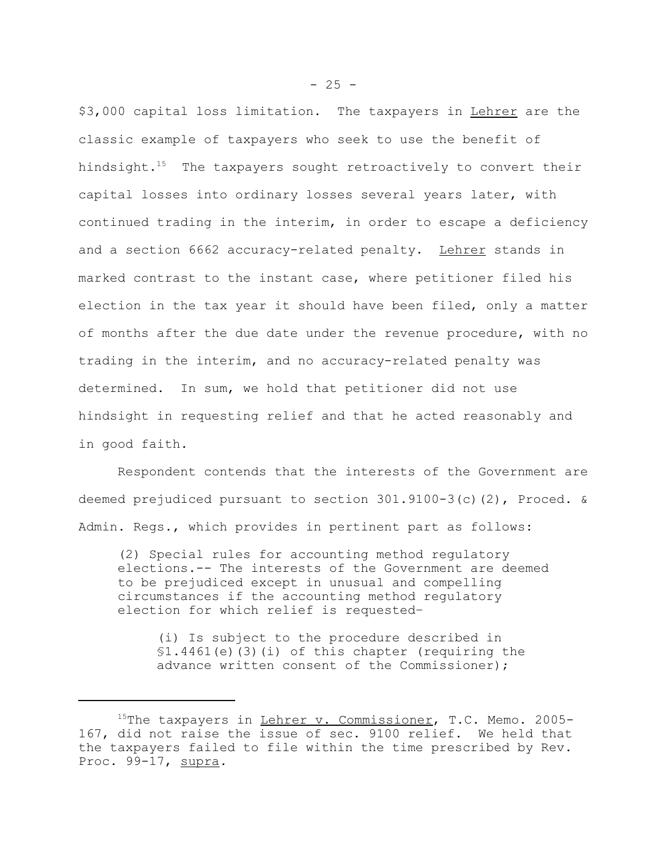\$3,000 capital loss limitation. The taxpayers in Lehrer are the classic example of taxpayers who seek to use the benefit of hindsight.<sup>15</sup> The taxpayers sought retroactively to convert their capital losses into ordinary losses several years later, with continued trading in the interim, in order to escape a deficiency and a section 6662 accuracy-related penalty. Lehrer stands in marked contrast to the instant case, where petitioner filed his election in the tax year it should have been filed, only a matter of months after the due date under the revenue procedure, with no trading in the interim, and no accuracy-related penalty was determined. In sum, we hold that petitioner did not use hindsight in requesting relief and that he acted reasonably and in good faith.

Respondent contends that the interests of the Government are deemed prejudiced pursuant to section 301.9100-3(c)(2), Proced. & Admin. Regs., which provides in pertinent part as follows:

(2) Special rules for accounting method regulatory elections.-- The interests of the Government are deemed to be prejudiced except in unusual and compelling circumstances if the accounting method regulatory election for which relief is requested–

(i) Is subject to the procedure described in §1.4461(e)(3)(i) of this chapter (requiring the advance written consent of the Commissioner);

<sup>&</sup>lt;sup>15</sup>The taxpayers in Lehrer v. Commissioner, T.C. Memo. 2005-167, did not raise the issue of sec. 9100 relief. We held that the taxpayers failed to file within the time prescribed by Rev. Proc. 99-17, supra.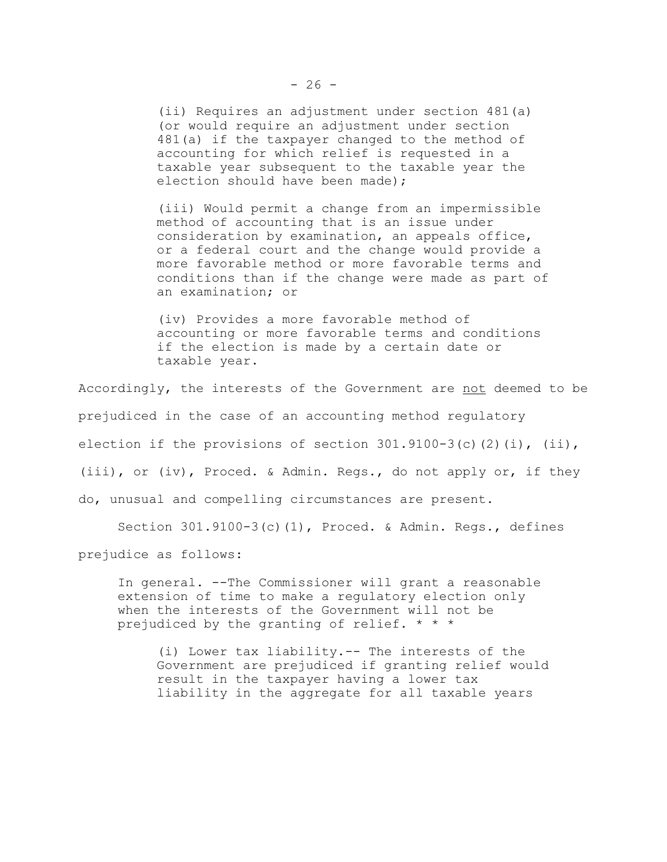(ii) Requires an adjustment under section 481(a) (or would require an adjustment under section 481(a) if the taxpayer changed to the method of accounting for which relief is requested in a taxable year subsequent to the taxable year the election should have been made);

(iii) Would permit a change from an impermissible method of accounting that is an issue under consideration by examination, an appeals office, or a federal court and the change would provide a more favorable method or more favorable terms and conditions than if the change were made as part of an examination; or

(iv) Provides a more favorable method of accounting or more favorable terms and conditions if the election is made by a certain date or taxable year.

Accordingly, the interests of the Government are not deemed to be prejudiced in the case of an accounting method regulatory election if the provisions of section  $301.9100-3(c)(2)(i)$ , (ii), (iii), or (iv), Proced. & Admin. Regs., do not apply or, if they do, unusual and compelling circumstances are present.

Section 301.9100-3(c)(1), Proced. & Admin. Regs., defines

prejudice as follows:

In general. --The Commissioner will grant a reasonable extension of time to make a regulatory election only when the interests of the Government will not be prejudiced by the granting of relief. \* \* \*

(i) Lower tax liability.-- The interests of the Government are prejudiced if granting relief would result in the taxpayer having a lower tax liability in the aggregate for all taxable years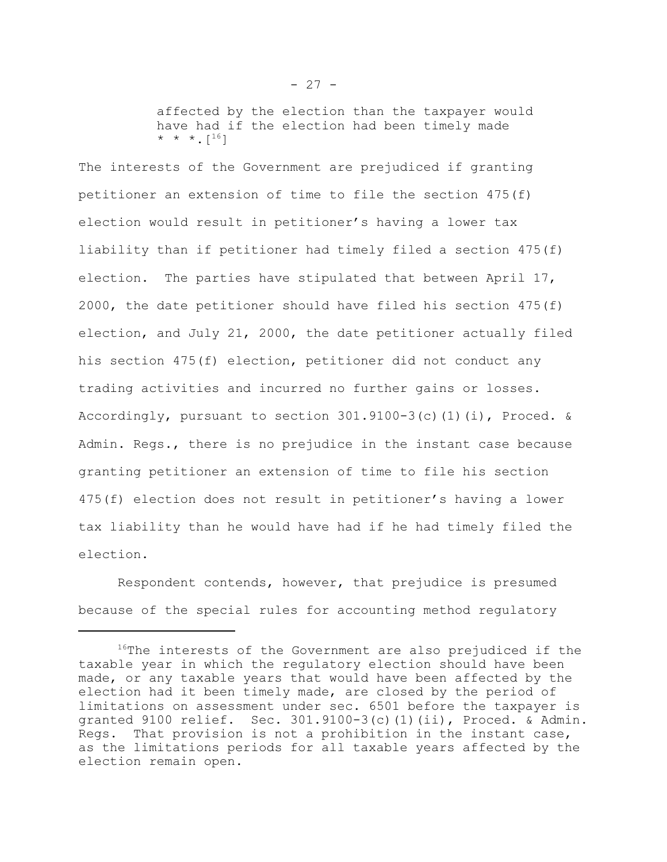affected by the election than the taxpayer would have had if the election had been timely made  $* * * [16]$ 

The interests of the Government are prejudiced if granting petitioner an extension of time to file the section 475(f) election would result in petitioner's having a lower tax liability than if petitioner had timely filed a section 475(f) election. The parties have stipulated that between April 17, 2000, the date petitioner should have filed his section 475(f) election, and July 21, 2000, the date petitioner actually filed his section 475(f) election, petitioner did not conduct any trading activities and incurred no further gains or losses. Accordingly, pursuant to section  $301.9100-3(c)$  (1)(i), Proced. & Admin. Regs., there is no prejudice in the instant case because granting petitioner an extension of time to file his section 475(f) election does not result in petitioner's having a lower tax liability than he would have had if he had timely filed the election.

Respondent contends, however, that prejudice is presumed because of the special rules for accounting method regulatory

 $16$ <sup>16</sup>The interests of the Government are also prejudiced if the taxable year in which the regulatory election should have been made, or any taxable years that would have been affected by the election had it been timely made, are closed by the period of limitations on assessment under sec. 6501 before the taxpayer is granted 9100 relief. Sec. 301.9100-3(c)(1)(ii), Proced. & Admin. Regs. That provision is not a prohibition in the instant case, as the limitations periods for all taxable years affected by the election remain open.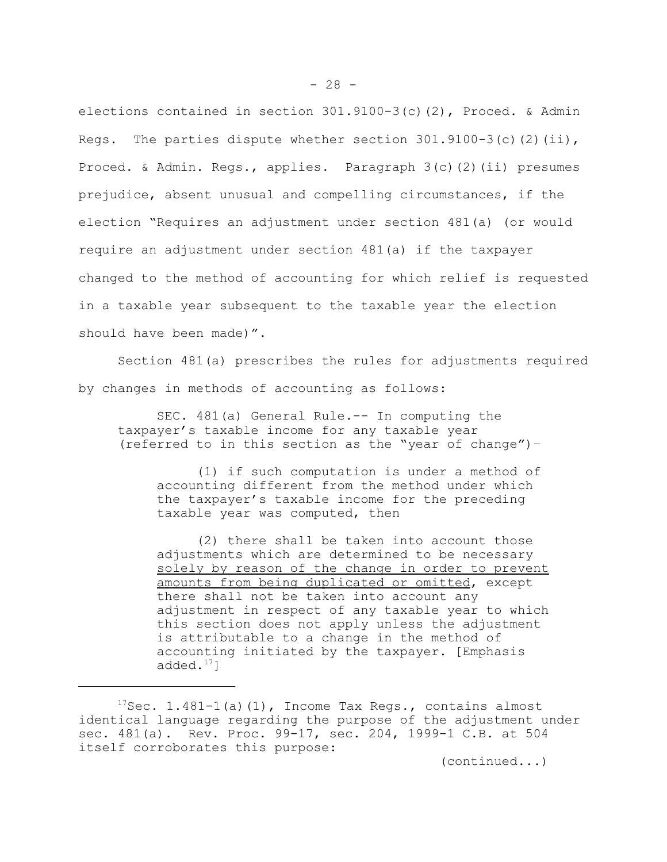elections contained in section 301.9100-3(c)(2), Proced. & Admin Regs. The parties dispute whether section  $301.9100-3(c)$  (2)(ii), Proced. & Admin. Regs., applies. Paragraph 3(c)(2)(ii) presumes prejudice, absent unusual and compelling circumstances, if the election "Requires an adjustment under section 481(a) (or would require an adjustment under section 481(a) if the taxpayer changed to the method of accounting for which relief is requested in a taxable year subsequent to the taxable year the election should have been made)".

Section 481(a) prescribes the rules for adjustments required by changes in methods of accounting as follows:

SEC. 481(a) General Rule.-- In computing the taxpayer's taxable income for any taxable year (referred to in this section as the "year of change")–

(1) if such computation is under a method of accounting different from the method under which the taxpayer's taxable income for the preceding taxable year was computed, then

(2) there shall be taken into account those adjustments which are determined to be necessary solely by reason of the change in order to prevent amounts from being duplicated or omitted, except there shall not be taken into account any adjustment in respect of any taxable year to which this section does not apply unless the adjustment is attributable to a change in the method of accounting initiated by the taxpayer. [Emphasis added. $17$ ]

(continued...)

 $17$ Sec. 1.481-1(a)(1), Income Tax Regs., contains almost identical language regarding the purpose of the adjustment under sec. 481(a). Rev. Proc. 99-17, sec. 204, 1999-1 C.B. at 504 itself corroborates this purpose: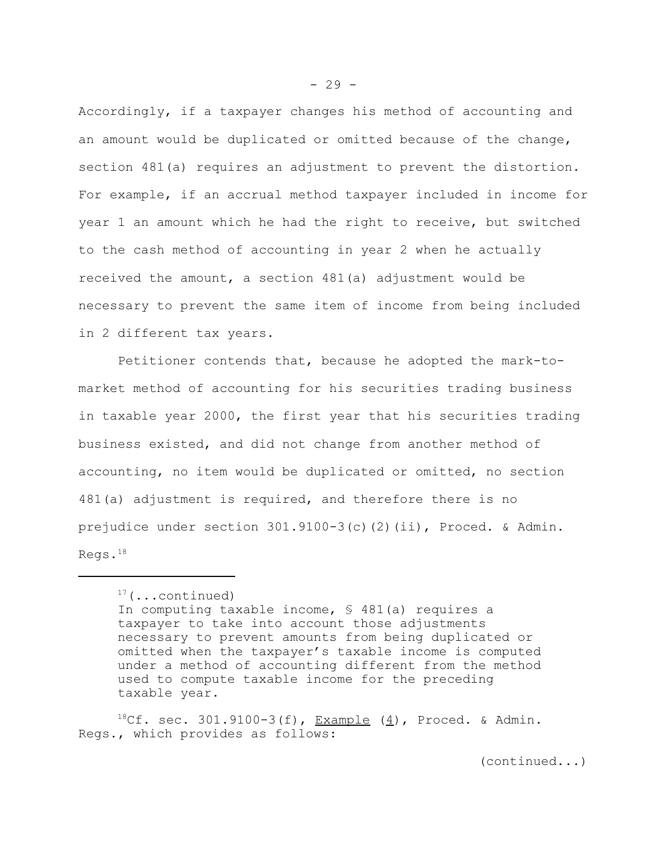Accordingly, if a taxpayer changes his method of accounting and an amount would be duplicated or omitted because of the change, section 481(a) requires an adjustment to prevent the distortion. For example, if an accrual method taxpayer included in income for year 1 an amount which he had the right to receive, but switched to the cash method of accounting in year 2 when he actually received the amount, a section 481(a) adjustment would be necessary to prevent the same item of income from being included in 2 different tax years.

Petitioner contends that, because he adopted the mark-tomarket method of accounting for his securities trading business in taxable year 2000, the first year that his securities trading business existed, and did not change from another method of accounting, no item would be duplicated or omitted, no section 481(a) adjustment is required, and therefore there is no prejudice under section 301.9100-3(c)(2)(ii), Proced. & Admin. Regs. $^{18}$ 

 ${}^{18}$ Cf. sec. 301.9100-3(f), Example (4), Proced. & Admin. Regs., which provides as follows:

(continued...)

 $17$  (...continued) In computing taxable income, § 481(a) requires a taxpayer to take into account those adjustments necessary to prevent amounts from being duplicated or omitted when the taxpayer's taxable income is computed under a method of accounting different from the method used to compute taxable income for the preceding taxable year.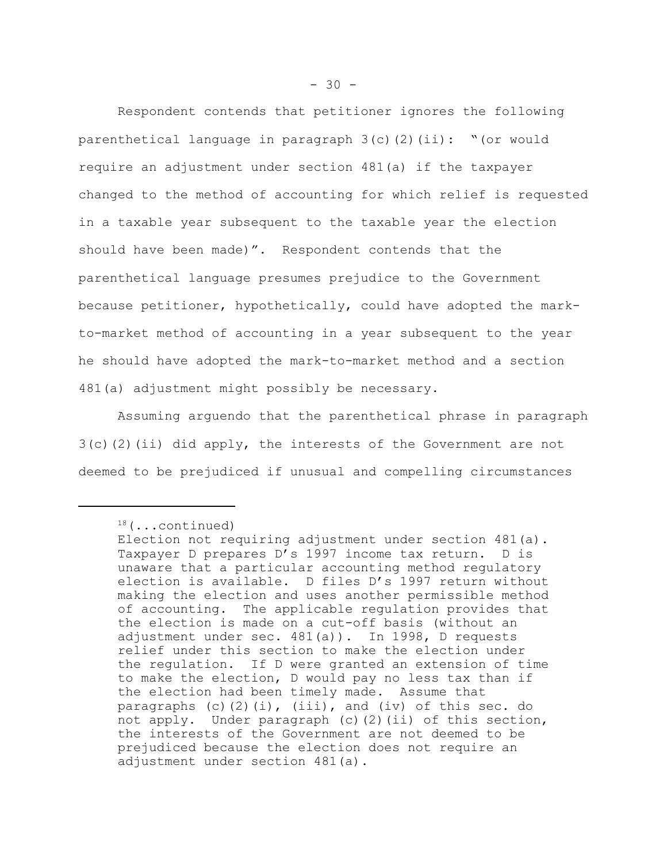Respondent contends that petitioner ignores the following parenthetical language in paragraph 3(c)(2)(ii): "(or would require an adjustment under section 481(a) if the taxpayer changed to the method of accounting for which relief is requested in a taxable year subsequent to the taxable year the election should have been made)". Respondent contends that the parenthetical language presumes prejudice to the Government because petitioner, hypothetically, could have adopted the markto-market method of accounting in a year subsequent to the year he should have adopted the mark-to-market method and a section 481(a) adjustment might possibly be necessary.

Assuming arguendo that the parenthetical phrase in paragraph  $3(c)$ (2)(ii) did apply, the interests of the Government are not deemed to be prejudiced if unusual and compelling circumstances

 $18$ (...continued)

Election not requiring adjustment under section 481(a). Taxpayer D prepares D's 1997 income tax return. D is unaware that a particular accounting method regulatory election is available. D files D's 1997 return without making the election and uses another permissible method of accounting. The applicable regulation provides that the election is made on a cut-off basis (without an adjustment under sec. 481(a)). In 1998, D requests relief under this section to make the election under the regulation. If D were granted an extension of time to make the election, D would pay no less tax than if the election had been timely made. Assume that paragraphs (c)(2)(i), (iii), and (iv) of this sec. do not apply. Under paragraph (c)(2)(ii) of this section, the interests of the Government are not deemed to be prejudiced because the election does not require an adjustment under section 481(a).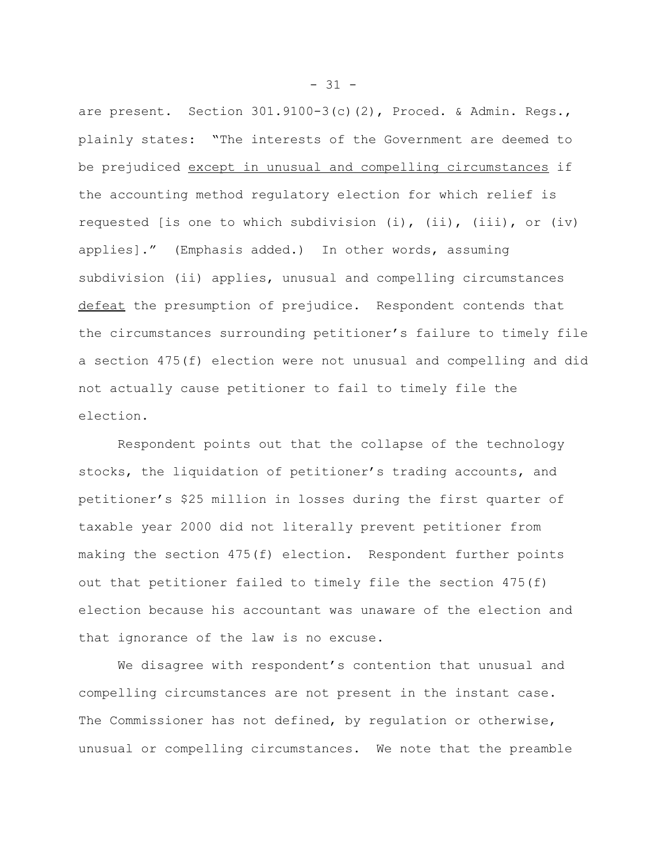are present. Section 301.9100-3(c)(2), Proced. & Admin. Regs., plainly states: "The interests of the Government are deemed to be prejudiced except in unusual and compelling circumstances if the accounting method regulatory election for which relief is requested [is one to which subdivision (i), (ii), (iii), or (iv) applies]." (Emphasis added.) In other words, assuming subdivision (ii) applies, unusual and compelling circumstances defeat the presumption of prejudice. Respondent contends that the circumstances surrounding petitioner's failure to timely file a section 475(f) election were not unusual and compelling and did not actually cause petitioner to fail to timely file the election.

Respondent points out that the collapse of the technology stocks, the liquidation of petitioner's trading accounts, and petitioner's \$25 million in losses during the first quarter of taxable year 2000 did not literally prevent petitioner from making the section 475(f) election. Respondent further points out that petitioner failed to timely file the section 475(f) election because his accountant was unaware of the election and that ignorance of the law is no excuse.

We disagree with respondent's contention that unusual and compelling circumstances are not present in the instant case. The Commissioner has not defined, by regulation or otherwise, unusual or compelling circumstances. We note that the preamble

 $- 31 -$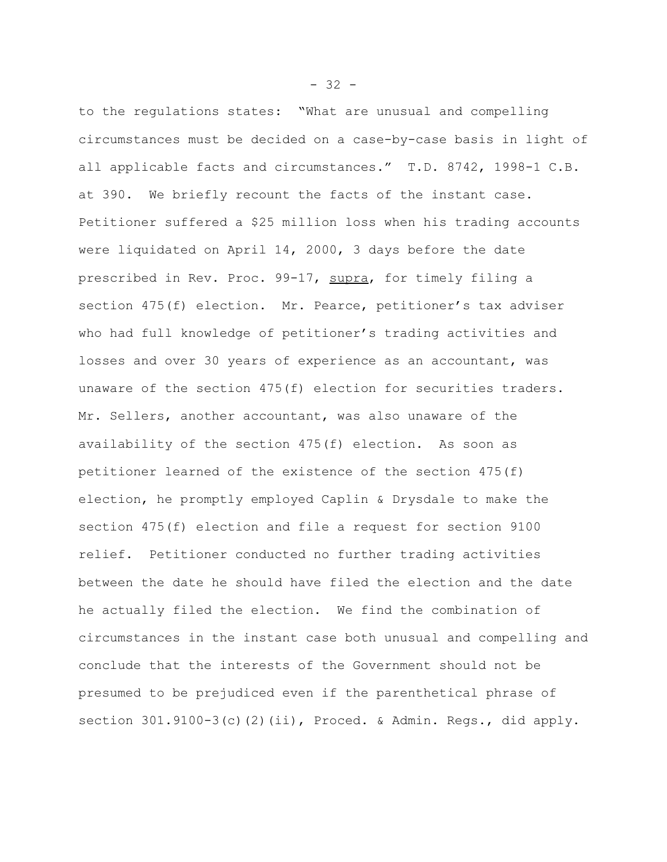to the regulations states: "What are unusual and compelling circumstances must be decided on a case-by-case basis in light of all applicable facts and circumstances." T.D. 8742, 1998-1 C.B. at 390. We briefly recount the facts of the instant case. Petitioner suffered a \$25 million loss when his trading accounts were liquidated on April 14, 2000, 3 days before the date prescribed in Rev. Proc. 99-17, supra, for timely filing a section 475(f) election. Mr. Pearce, petitioner's tax adviser who had full knowledge of petitioner's trading activities and losses and over 30 years of experience as an accountant, was unaware of the section 475(f) election for securities traders. Mr. Sellers, another accountant, was also unaware of the availability of the section 475(f) election. As soon as petitioner learned of the existence of the section 475(f) election, he promptly employed Caplin & Drysdale to make the section 475(f) election and file a request for section 9100 relief. Petitioner conducted no further trading activities between the date he should have filed the election and the date he actually filed the election. We find the combination of circumstances in the instant case both unusual and compelling and conclude that the interests of the Government should not be presumed to be prejudiced even if the parenthetical phrase of section 301.9100-3(c)(2)(ii), Proced. & Admin. Regs., did apply.

 $- 32 -$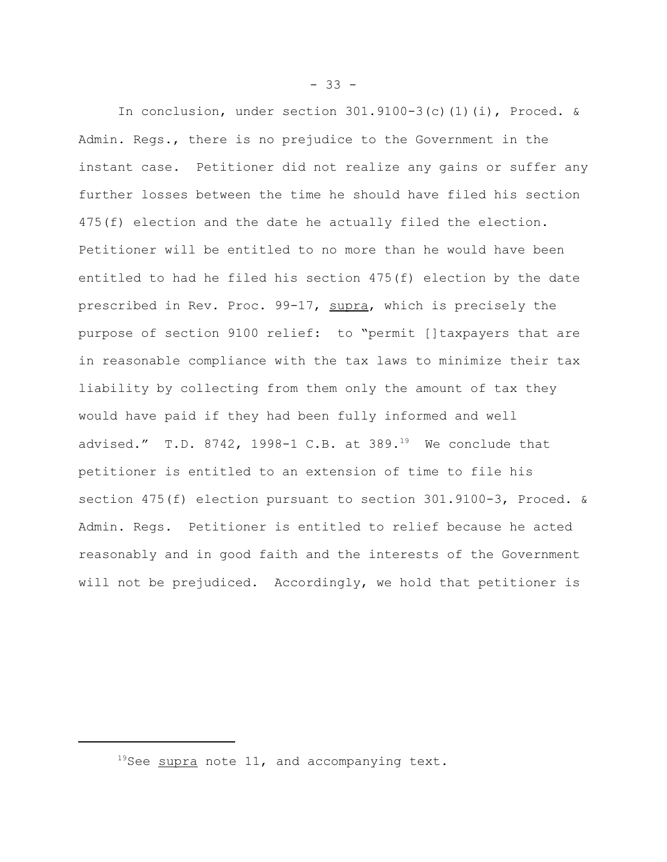In conclusion, under section  $301.9100-3(c)(1)(i)$ , Proced. & Admin. Regs., there is no prejudice to the Government in the instant case. Petitioner did not realize any gains or suffer any further losses between the time he should have filed his section 475(f) election and the date he actually filed the election. Petitioner will be entitled to no more than he would have been entitled to had he filed his section 475(f) election by the date prescribed in Rev. Proc. 99-17, supra, which is precisely the purpose of section 9100 relief: to "permit []taxpayers that are in reasonable compliance with the tax laws to minimize their tax liability by collecting from them only the amount of tax they would have paid if they had been fully informed and well advised." T.D. 8742, 1998-1 C.B. at  $389.^{19}$  We conclude that petitioner is entitled to an extension of time to file his section 475(f) election pursuant to section 301.9100-3, Proced. & Admin. Regs. Petitioner is entitled to relief because he acted reasonably and in good faith and the interests of the Government will not be prejudiced. Accordingly, we hold that petitioner is

 $19$ See supra note 11, and accompanying text.